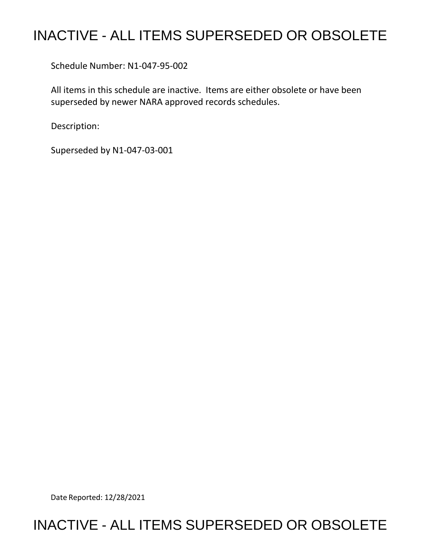# INACTIVE - ALL ITEMS SUPERSEDED OR OBSOLETE

Schedule Number: N1-047-95-002

 All items in this schedule are inactive. Items are either obsolete or have been superseded by newer NARA approved records schedules.

Description:

Superseded by N1-047-03-001

Date Reported: 12/28/2021

# INACTIVE - ALL ITEMS SUPERSEDED OR OBSOLETE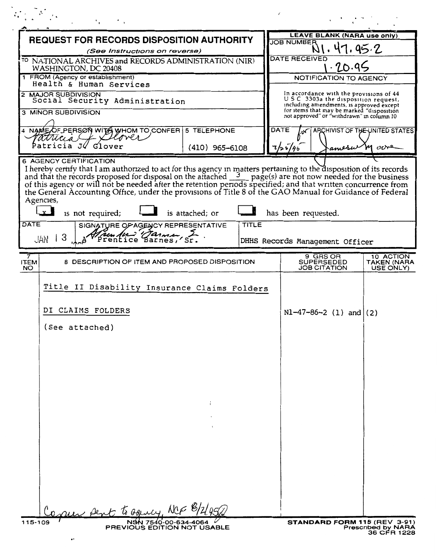| $\mathcal{O}(\epsilon) = \mathcal{S}(\epsilon)$ ,                                                                                                                                                                                                                                                                                                                                                                                                                                                                     |                                                                                                                           |
|-----------------------------------------------------------------------------------------------------------------------------------------------------------------------------------------------------------------------------------------------------------------------------------------------------------------------------------------------------------------------------------------------------------------------------------------------------------------------------------------------------------------------|---------------------------------------------------------------------------------------------------------------------------|
| <b>REQUEST FOR RECORDS DISPOSITION AUTHORITY</b>                                                                                                                                                                                                                                                                                                                                                                                                                                                                      | <b>LEAVE BLANK (NARA use only)</b>                                                                                        |
| (See Instructions on reverse)                                                                                                                                                                                                                                                                                                                                                                                                                                                                                         | <b>JOB NUMBER</b><br>17.95.2                                                                                              |
| <sup>TO</sup> NATIONAL ARCHIVES and RECORDS ADMINISTRATION (NIR)<br>WASHINGTON, DC 20408                                                                                                                                                                                                                                                                                                                                                                                                                              | <b>DATE RECEIVED</b><br>.70.99                                                                                            |
| 1 FROM (Agency or establishment)<br>Health & Human Services                                                                                                                                                                                                                                                                                                                                                                                                                                                           | NOTIFICATION TO AGENCY                                                                                                    |
| 2 MAJOR SUBDIVISION<br>Social Security Administration                                                                                                                                                                                                                                                                                                                                                                                                                                                                 | In accordance with the provisions of 44<br>USC 3303a the disposition request,<br>including amendments, is approved except |
| <b>3 MINOR SUBDIVISION</b>                                                                                                                                                                                                                                                                                                                                                                                                                                                                                            | for items that may be marked "disposition<br>not approved" or "withdrawn" in column 10                                    |
| 4 NAME OF PERSON WITH WHOM TO CONFER 5 TELEPHONE<br>attucia<br>L Celover                                                                                                                                                                                                                                                                                                                                                                                                                                              | DATE<br>ARCHIVIST OF THE UNITED STATES<br>.vC                                                                             |
| Patricia J <i>. G</i> lover<br>$(410)$ 965-6108                                                                                                                                                                                                                                                                                                                                                                                                                                                                       | 7/25/95<br>M orre<br>amesu                                                                                                |
| I hereby certify that I am authorized to act for this agency in matters pertaining to the disposition of its records<br>and that the records proposed for disposal on the attached $\frac{3}{2}$ page(s) are not now needed for the<br>the General Accounting Office, under the provisions of Title 8 of the GAO Manual for Guidance of Federal<br>Agencies,<br>$\mathbf{x}$<br>is attached; or<br>is not required;<br><b>DATE</b><br>TITLE<br>SIGNATURE OF AGENCY REPRESENTATIVE<br>Trentice Barnes, Sr.<br>3<br>JAN | has been requested.<br>DHHS Records Management Officer                                                                    |
|                                                                                                                                                                                                                                                                                                                                                                                                                                                                                                                       |                                                                                                                           |
| 8 DESCRIPTION OF ITEM AND PROPOSED DISPOSITION<br><b>ITEM</b><br>NO.                                                                                                                                                                                                                                                                                                                                                                                                                                                  | 9 GRS OR<br>10 ACTION<br><b>SUPERSEDED</b><br>TAKEN (NARA<br><b>JOB CITATION</b><br>USE ONLY)                             |
| Title II Disability Insurance Claims Folders<br>DI CLAIMS FOLDERS<br>(See attached)                                                                                                                                                                                                                                                                                                                                                                                                                                   | $NI-47-86-2 (1) and (2)$                                                                                                  |
| Draw Dent to Denry, NCF 8/2/95/2<br>NSN 7540-00-634-4064<br>115-109<br><b>PREVIOUS EDITION NOT USABLE</b>                                                                                                                                                                                                                                                                                                                                                                                                             | <b>STANDARD FORM 115 (REV 3-91)</b><br><b>Prescribed by NARA</b>                                                          |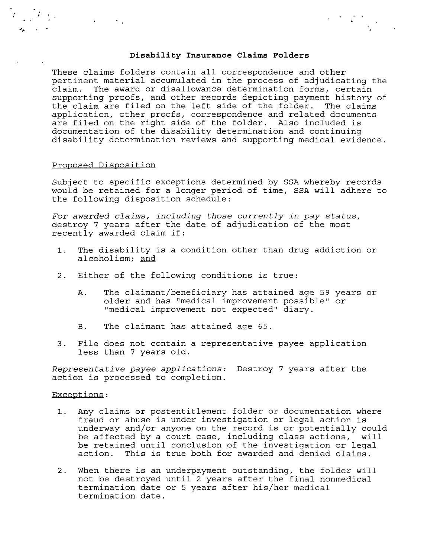## **Disability Insurance Claims Folders**

These claims folders contain all correspondence and other pertinent material accumulated in the process of adjudicating the claim. The award or disallowance determination forms, certain supporting proofs, and other records depicting payment history of the claim are filed on the left side of the folder. The claims application, other proofs, correspondence and related documents are filed on the right side of the folder. Also included is documentation of the disability determination and continuing disability determination reviews and supporting medical evidence.

#### Proposed Disposition

 $\bullet$  . The set of  $\mathcal{O}_{\mathcal{A}}$ 

Subject to specific exceptions determined by SSA whereby records would be retained for a longer period of time, SSA will adhere to the following disposition schedule:

*For awarded claims, including those currently in pay status,*  destroy 7 years after the date of adjudication of the most recently awarded claim if:

- 1. The disability is a condition other than drug addiction or alcoholism; and
- 2. Either of the following conditions is true:
	- A. The claimant/beneficiary has attained age 59 years or older and has "medical improvement possible" or "medical improvement not expected" diary.
	- B. The claimant has attained age 65.
- 3. File does not contain a representative payee application less than 7 years old.

*Representative payee applications:* Destroy 7 years after the action is processed to completion.

### Exceptions:

- 1. Any claims or postentitlement folder or documentation where fraud or abuse is under investigation or legal action is underway and/or anyone on the record is or potentially could be affected by a court case, including class actions, will be retained until conclusion of the investigation or legal action. This is true both for awarded and denied claims.
- 2. When there is an underpayment outstanding, the folder will not be destroyed until 2 years after the final nonmedical termination date or 5 years after his/her medical termination date.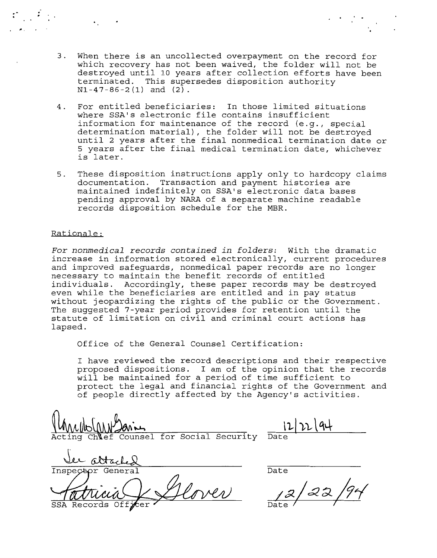- 3. When there is an uncollected overpayment on the record for which recovery has not been waived, the folder will not be destroyed until 10 years after collection efforts have been terminated. This supersedes disposition authority  $N1 - 47 - 86 - 2(1)$  and  $(2)$ .
- 4. For entitled beneficiaries: In those limited situations where SSA's electronic file contains insufficient information for maintenance of the record (e.g., special determination material), the folder will not be destroyed until 2 years after the final nonmedical termination date or 5 years after the final medical termination date, whichever is later.
- 5. These disposition instructions apply only to hardcopy claims documentation. Transaction and payment histories are maintained indefinitely on SSA's electronic data bases pending approval by NARA of a separate machine readable records disposition schedule for the MBR.

# Rationale:

*For nonmedical records contained in folders:* With the dramatic increase in information stored electronically, current procedures and improved safeguards, nonmedical paper records are no longer necessary to maintain the benefit records of entitled individuals. Accordingly, these paper records may be destroyed even while the beneficiaries are entitled and in pay status without jeopardizing the rights of the public or the Government. The suggested 7-year period provides for retention until the statute of limitation on civil and criminal court actions has lapsed.

Office of the General Counsel Certification:

I have reviewed the record descriptions and their respective proposed dispositions. I am of the opinion that the records will be maintained for a period of time sufficient to protect the legal and financial rights of the Government and of people directly affected by the Agency's activities.

 $M_{ML}$  $M_{ML}$   $M_{ML}$   $M_{ML}$   $M_{ML}$   $M_{ML}$   $M_{ML}$   $M_{ML}$   $M_{ML}$   $M_{ML}$   $M_{ML}$   $M_{ML}$   $M_{ML}$   $M_{ML}$   $M_{ML}$   $M_{ML}$   $M_{ML}$   $M_{ML}$   $M_{ML}$   $M_{ML}$   $M_{ML}$   $M_{ML}$   $M_{ML}$   $M_{ML}$   $M_{ML}$   $M_{ML}$   $M_{ML}$   $M_{ML}$   $M_{ML}$   $M_{ML}$   $M_{ML}$   $M_{ML}$ 

lee attached Inspector General Glover

SSA Records

Date